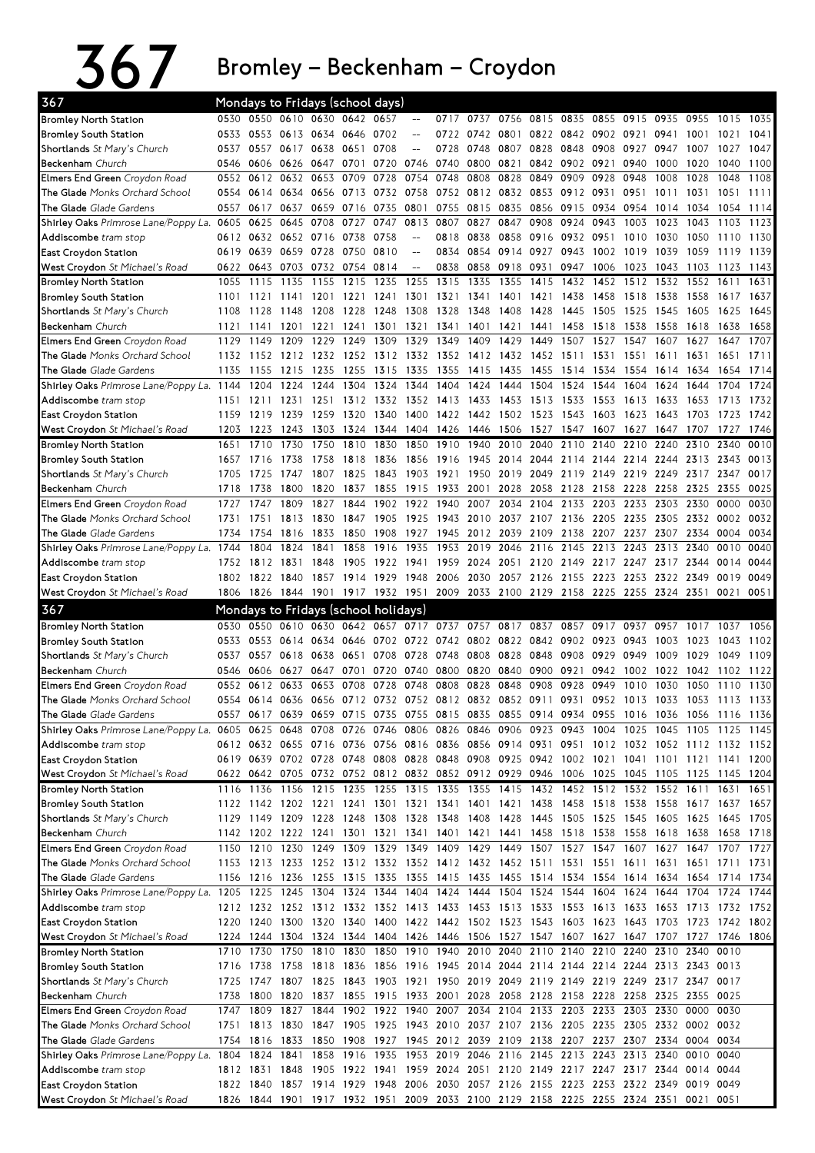## 367 Bromley–Beckenham–Croydon

| 367                                                                                                                            |      | Mondays to Fridays (school days) |                                                                                           |                |                |                |                                                                                 |              |              |           |                     |      |                     |                                              |      |                                         |           |      |
|--------------------------------------------------------------------------------------------------------------------------------|------|----------------------------------|-------------------------------------------------------------------------------------------|----------------|----------------|----------------|---------------------------------------------------------------------------------|--------------|--------------|-----------|---------------------|------|---------------------|----------------------------------------------|------|-----------------------------------------|-----------|------|
| <b>Bromley North Station</b>                                                                                                   | 0530 |                                  | 0550 0610 0630                                                                            |                | 0642           | 0657           | $-$                                                                             | 0717         | 0737         | 0756      | 0815 0835           |      | 0855                | 0915                                         | 0935 | 0955                                    | 1015      | 1035 |
| <b>Bromley South Station</b>                                                                                                   | 0533 |                                  | 0553 0613 0634 0646 0702                                                                  |                |                |                | $-$                                                                             |              | 0722 0742    | 0801      |                     |      |                     | 0822 0842 0902 0921 0941                     |      | 1001                                    | 1021      | 1041 |
| Shortlands St Mary's Church                                                                                                    | 0537 | 0557                             |                                                                                           | 0617 0638      | 0651           | 0708           | $\overline{a}$                                                                  | 0728         | 0748         | 0807      | 0828                | 0848 | 0908                | 0927                                         | 0947 | 1007                                    | 1027      | 1047 |
| <b>Beckenham</b> Church                                                                                                        | 0546 | 0606                             | 0626                                                                                      | 0647           | 0701           | 0720           | 0746                                                                            | 0740 0800    |              | 0821      | 0842                | 0902 | 0921                | 0940                                         | 1000 | 1020                                    | 1040      | 1100 |
| Elmers End Green Croydon Road                                                                                                  | 0552 | 0612                             | 0632                                                                                      | 0653           | 0709           | 0728           | 0754                                                                            | 0748         | 0808         | 0828      | 0849                | 0909 | 0928                | 0948                                         | 1008 | 1028                                    | 1048      | 1108 |
| The Glade Monks Orchard School                                                                                                 | 0554 | 0614                             | 0634                                                                                      | 0656           | 0713           | 0732           | 0758                                                                            |              | 0752 0812    | 0832      | 0853                | 0912 | 0931                | 0951                                         | 1011 | 1031                                    | 1051      | 1111 |
| The Glade Glade Gardens                                                                                                        | 0557 | 0617                             | 0637                                                                                      | 0659           | 0716           | 0735           | 0801                                                                            | 0755         | 0815         | 0835      | 0856 0915           |      | 0934                | 0954                                         | 1014 | 1034                                    | 1054      | 1114 |
| Shirley Oaks Primrose Lane/Poppy La.                                                                                           | 0605 | 0625                             | 0645                                                                                      | 0708           | 0727           | 0747           | 0813                                                                            | 0807         | 0827         | 0847      | 0908                | 0924 | 0943                | 1003                                         | 1023 | 1043                                    | 1103      | 1123 |
| Addiscombe tram stop                                                                                                           | 0612 |                                  | 0632 0652 0716                                                                            |                | 0738           | 0758           | $-$                                                                             |              | 0818 0838    |           | 0858 0916 0932 0951 |      |                     | 1010                                         | 1030 | 1050                                    | 1110      | 1130 |
| <b>East Croydon Station</b>                                                                                                    | 0619 | 0639                             | 0659                                                                                      | 0728           | 0750           | 0810           | $-$                                                                             | 0834         | 0854         | 0914      | 0927                | 0943 | 1002                | 1019                                         | 1039 | 1059                                    | 1119      | 1139 |
| West Croydon St Michael's Road                                                                                                 | 0622 |                                  | 0643 0703                                                                                 | 0732           | 0754           | 0814           | $-$                                                                             | 0838         | 0858         | 0918      | 0931                | 0947 | 1006                | 1023                                         | 1043 | 1103                                    | 1123      | 1143 |
| <b>Bromley North Station</b>                                                                                                   | 1055 | 1115                             | 1135                                                                                      | 1155           | 1215           | 1235           | 1255                                                                            | 1315         | 1335         | 1355      | 1415                | 1432 | 1452                | 1512                                         | 1532 | 1552                                    | 1611      | 1631 |
| <b>Bromley South Station</b>                                                                                                   | 1101 | 1121                             | 1141                                                                                      | 1201           | 1221           | 1241           | 1301                                                                            | 1321         | 1341         | 1401      | 1421                | 1438 | 1458                | 1518                                         | 1538 | 1558                                    | 1617      | 1637 |
|                                                                                                                                | 1108 | 1128                             | 1148                                                                                      | 1208           | 1228           | 1248           | 1308                                                                            | 1328         | 1348         | 1408      | 1428                | 1445 | 1505                | 1525                                         | 1545 | 1605                                    | 1625      | 1645 |
| Shortlands St Mary's Church                                                                                                    |      |                                  |                                                                                           |                |                |                |                                                                                 |              |              |           |                     | 1458 |                     | 1538                                         | 1558 |                                         | 1638      | 1658 |
| Beckenham Church                                                                                                               | 1121 | 1141<br>1149                     | 1201<br>1209                                                                              | 1221<br>1229   | 1241<br>1249   | 1301<br>1309   | 1321<br>1329                                                                    | 1341<br>1349 | 1401<br>1409 | 1421      | 1441<br>1449        | 1507 | 1518<br>1527        | 1547                                         | 1607 | 1618                                    |           | 1707 |
| Elmers End Green Croydon Road                                                                                                  | 1129 |                                  |                                                                                           |                |                |                |                                                                                 |              |              | 1429      |                     |      |                     |                                              |      | 1627                                    | 1647      |      |
| The Glade Monks Orchard School                                                                                                 |      | 1132 1152 1212                   |                                                                                           | 1232 1252 1312 |                |                | 1332 1352 1412                                                                  |              |              |           | 1432 1452 1511      |      | 1531                | 1551                                         | 1611 | 1631                                    | 1651      | 1711 |
| The Glade Glade Gardens                                                                                                        | 1135 | 1155                             | 1215                                                                                      | 1235           | 1255           | 1315           | 1335                                                                            | 1355         | 1415         | 1435      | 1455                | 1514 | 1534                | 1554                                         | 1614 | 1634                                    | 1654      | 1714 |
| Shirley Oaks Primrose Lane/Poppy La. 1144                                                                                      |      | 1204                             | 1224                                                                                      | 1244           | 1304           | 1324           | 1344                                                                            | 1404         | 1424         | 1444      | 1504                | 1524 | 1544                | 1604                                         | 1624 | 1644                                    | 1704      | 1724 |
| Addiscombe tram stop                                                                                                           | 1151 | 1211                             | 1231                                                                                      | 1251           | 1312           | 1332           | 1352                                                                            | 1413         | 1433         | 1453      | 1513                | 1533 | 1553                | 1613                                         | 1633 | 1653                                    | 1713      | 1732 |
| <b>East Croydon Station</b>                                                                                                    | 1159 | 1219                             | 1239                                                                                      | 1259           | 1320           | 1340           | 1400                                                                            | 1422 1442    |              | 1502      | 1523                | 1543 | 1603                | 1623                                         | 1643 | 1703                                    | 1723      | 1742 |
| West Croydon St Michael's Road                                                                                                 | 1203 | -1223                            | 1243                                                                                      | 1303           |                | 1324 1344      | 1404                                                                            | 1426 1446    |              |           | 1506 1527 1547      |      | 1607                | 1627                                         | 1647 | 1707                                    | 1727      | 1746 |
| <b>Bromley North Station</b>                                                                                                   | 1651 | 1710                             | 1730                                                                                      | 1750           | 1810           | 1830           | 1850                                                                            | 1910         | 1940         | 2010      | 2040                | 2110 | 2140                | 2210                                         | 2240 | 2310                                    | 2340      | 0010 |
| <b>Bromley South Station</b>                                                                                                   | 1657 | 1716                             | 1738                                                                                      | 1758           | 1818           | 1836           | 1856                                                                            | 1916         | 1945         | 2014      | 2044                | 2114 | 2144                | 2214                                         | 2244 | 2313                                    | 2343      | 0013 |
| Shortlands St Mary's Church                                                                                                    | 1705 | 1725                             | 1747                                                                                      | 1807           | 1825           | 1843           | 1903                                                                            | 1921         | 1950         | 2019      | 2049                | 2119 | 2149                | 2219                                         | 2249 | 2317                                    | 2347      | 0017 |
| <b>Beckenham</b> Church                                                                                                        | 1718 | 1738                             | 1800                                                                                      | 1820           | 1837           | 1855           | 1915                                                                            | 1933 2001    |              | 2028      | 2058                | 2128 | 2158                | 2228                                         | 2258 | 2325                                    | 2355      | 0025 |
| Elmers End Green Croydon Road                                                                                                  | 1727 | 1747                             | 1809                                                                                      | 1827           | 1844           | 1902           | 1922                                                                            | 1940         | 2007         | 2034      | 2104                | 2133 | 2203                | 2233                                         | 2303 | 2330                                    | 0000      | 0030 |
| The Glade Monks Orchard School                                                                                                 | 1731 | 1751                             | 1813                                                                                      | 1830           | 1847           | 1905           | 1925                                                                            | 1943 2010    |              |           | 2037 2107 2136      |      | 2205                | 2235                                         | 2305 | 2332                                    | 0002      | 0032 |
| The Glade Glade Gardens                                                                                                        | 1734 | 1754                             | 1816                                                                                      | 1833           | 1850           | 1908           | 1927                                                                            |              | 1945 2012    | 2039      | 2109                | 2138 | 2207                | 2237                                         | 2307 | 2334                                    | 0004      | 0034 |
| Shirley Oaks Primrose Lane/Poppy La. 1744                                                                                      |      | 1804                             | 1824                                                                                      | 1841           | 1858           | 1916           | 1935                                                                            | 1953         | 2019         | 2046      | 2116                | 2145 | 2213                | 2243                                         | 2313 | 2340                                    | 0010      | 0040 |
| Addiscombe tram stop                                                                                                           | 1752 | 1812                             | 1831                                                                                      | 1848           | 1905           | 1922           | 1941                                                                            |              | 1959 2024    | 2051      | 2120 2149           |      | 2217                | 2247 2317 2344                               |      |                                         | 0014      | 0044 |
| East Croydon Station                                                                                                           |      | 1802 1822 1840                   |                                                                                           |                | 1857 1914 1929 |                | 1948                                                                            |              | 2006 2030    |           |                     |      |                     | 2057 2126 2155 2223 2253 2322 2349           |      |                                         | 0019      | 0049 |
| West Croydon St Michael's Road                                                                                                 |      |                                  |                                                                                           |                |                |                | 1806 1826 1844 1901 1917 1932 1951                                              |              |              |           |                     |      |                     | 2009 2033 2100 2129 2158 2225 2255 2324 2351 |      |                                         | 0021 0051 |      |
|                                                                                                                                |      |                                  |                                                                                           |                |                |                |                                                                                 |              |              |           |                     |      |                     |                                              |      |                                         |           |      |
|                                                                                                                                |      |                                  |                                                                                           |                |                |                |                                                                                 |              |              |           |                     |      |                     |                                              |      |                                         |           |      |
| 367                                                                                                                            |      |                                  | Mondays to Fridays (school holidays)                                                      |                |                |                |                                                                                 |              |              |           |                     |      |                     |                                              |      |                                         |           |      |
| <b>Bromley North Station</b>                                                                                                   | 0530 | 0550                             | 0610                                                                                      | 0630           | 0642           | 0657           | 0717                                                                            | 0737 0757    |              | 0817      | 0837                | 0857 | 0917                | 0937                                         | 0957 | 1017                                    | 1037      | 1056 |
| <b>Bromley South Station</b>                                                                                                   | 0533 | 0553                             | 0614                                                                                      | 0634           | 0646           | 0702           | 0722                                                                            |              | 0742 0802    | 0822      | 0842                | 0902 | 0923                | 0943                                         | 1003 | 1023                                    | 1043      | 1102 |
| Shortlands St Mary's Church                                                                                                    | 0537 | 0557                             | 0618                                                                                      | 0638           | 0651           | 0708           | 0728                                                                            | 0748 0808    |              | 0828 0848 |                     | 0908 | 0929                | 0949                                         | 1009 | 1029                                    | 1049      | 1109 |
| Beckenham Church                                                                                                               | 0546 | 0606                             | 0627                                                                                      | 0647           | 0701           | 0720           | 0740                                                                            | 0800         | 0820         | 0840      | 0900                | 0921 | 0942                | 1002                                         | 1022 | 1042                                    | 1102      | 1122 |
| Elmers End Green Croydon Road                                                                                                  | 0552 | 0612                             | 0633                                                                                      | 0653           | 0708           | 0728           | 0748                                                                            | 0808         | 0828         | 0848      | 0908                | 0928 | 0949                | 1010                                         | 1030 | 1050                                    | 1110      | 1130 |
| The Glade Monks Orchard School                                                                                                 |      |                                  | 0554 0614 0636 0656 0712 0732 0752 0812 0832 0852 0911 0931                               |                |                |                |                                                                                 |              |              |           |                     |      |                     |                                              |      | 0952 1013 1033 1053 1113 1133           |           |      |
| <b>The Glade</b> Glade Gardens                                                                                                 | 0557 | 0617                             |                                                                                           |                |                |                | 0639 0659 0715 0735 0755 0815 0835 0855 0914 0934 0955 1016 1036 1056 1116 1136 |              |              |           |                     |      |                     |                                              |      |                                         |           |      |
| Shirley Oaks Primrose Lane/Poppy La. 0605 0625 0648 0708 0726 0746 0806 0826 0846 0906 0923 0943 1004 1025 1045 1105 1125 1145 |      |                                  |                                                                                           |                |                |                |                                                                                 |              |              |           |                     |      |                     |                                              |      |                                         |           |      |
| Addiscombe tram stop                                                                                                           |      |                                  | 0612 0632 0655 0716 0736 0756 0816 0836 0856 0914 0931 0951 1012 1032 1052 1112 1132 1152 |                |                |                |                                                                                 |              |              |           |                     |      |                     |                                              |      |                                         |           |      |
| East Croydon Station                                                                                                           |      |                                  | 0619 0639 0702 0728 0748 0808 0828 0848 0908 0925 0942 1002 1021 1041 1101 1121 1141 1200 |                |                |                |                                                                                 |              |              |           |                     |      |                     |                                              |      |                                         |           |      |
| West Croydon St Michael's Road                                                                                                 |      |                                  | 0622 0642 0705 0732 0752 0812 0832 0852 0912 0929 0946 1006 1025 1045 1105 1125 1145 1204 |                |                |                |                                                                                 |              |              |           |                     |      |                     |                                              |      |                                         |           |      |
| <b>Bromley North Station</b>                                                                                                   |      |                                  | 1116 1136 1156 1215 1235 1255 1315 1335 1355 1415 1432 1452 1512 1532 1552 1611 1631      |                |                |                |                                                                                 |              |              |           |                     |      |                     |                                              |      |                                         |           | 1651 |
| <b>Bromley South Station</b>                                                                                                   |      |                                  | 1122 1142 1202 1221 1241 1301 1321 1341 1401 1421 1438 1458 1518 1538 1558 1617 1637      |                |                |                |                                                                                 |              |              |           |                     |      |                     |                                              |      |                                         |           |      |
| Shortlands St Mary's Church                                                                                                    |      |                                  | 1129 1149 1209 1228 1248 1308 1328 1348 1408 1428 1445 1505 1525 1545 1605 1625 1645 1705 |                |                |                |                                                                                 |              |              |           |                     |      |                     |                                              |      |                                         |           | 1657 |
| Beckenham Church                                                                                                               |      |                                  | 1142 1202 1222 1241                                                                       |                |                | 1301 1321 1341 |                                                                                 |              | 1401 1421    | 1441      |                     |      | 1458 1518 1538 1558 |                                              |      | 1618 1638 1658                          |           | 1718 |
| Elmers End Green Croydon Road                                                                                                  |      | 1150 1210 1230                   |                                                                                           | 1249           |                |                | 1309 1329 1349 1409 1429                                                        |              |              |           | 1449 1507 1527 1547 |      |                     | 1607                                         | 1627 | 1647                                    | 1707 1727 |      |
| The Glade Monks Orchard School                                                                                                 |      |                                  | 1153 1213 1233 1252 1312 1332 1352 1412 1432 1452 1511 1531 1551 1611 1631 1651 1711 1731 |                |                |                |                                                                                 |              |              |           |                     |      |                     |                                              |      |                                         |           |      |
| The Glade Glade Gardens                                                                                                        |      |                                  | 1156 1216 1236 1255 1315 1335 1355 1415 1435                                              |                |                |                |                                                                                 |              |              |           |                     |      |                     |                                              |      | 1455 1514 1534 1554 1614 1634 1654 1714 |           | 1734 |
| Shirley Oaks Primrose Lane/Poppy La. 1205 1225 1245 1304 1324 1344 1404 1424 1444 1504 1524 1544 1604 1624 1644 1704 1724      |      |                                  |                                                                                           |                |                |                |                                                                                 |              |              |           |                     |      |                     |                                              |      |                                         |           | 1744 |
| Addiscombe tram stop                                                                                                           |      |                                  | 1212 1232 1252 1312 1332 1352 1413 1433 1453 1513 1533 1553 1613 1633 1653 1713 1732 1752 |                |                |                |                                                                                 |              |              |           |                     |      |                     |                                              |      |                                         |           |      |
| East Croydon Station                                                                                                           |      |                                  | 1220 1240 1300 1320 1340 1400 1422 1442 1502 1523 1543 1603 1623 1643 1703 1723 1742 1802 |                |                |                |                                                                                 |              |              |           |                     |      |                     |                                              |      |                                         |           |      |
| West Croydon St Michael's Road                                                                                                 |      |                                  | 1224 1244 1304 1324 1344 1404 1426 1446 1506 1527 1547 1607 1627 1647 1707 1727 1746 1806 |                |                |                |                                                                                 |              |              |           |                     |      |                     |                                              |      |                                         |           |      |
| <b>Bromley North Station</b>                                                                                                   | 1710 |                                  | 1730 1750 1810 1830 1850 1910 1940 2010 2040 2110 2140 2210 2240 2310 2340 0010           |                |                |                |                                                                                 |              |              |           |                     |      |                     |                                              |      |                                         |           |      |
| <b>Bromley South Station</b>                                                                                                   |      |                                  | 1716 1738 1758 1818 1836 1856 1916 1945 2014 2044 2114 2144 2214 2244 2313 2343 0013      |                |                |                |                                                                                 |              |              |           |                     |      |                     |                                              |      |                                         |           |      |
| Shortlands St Mary's Church                                                                                                    |      |                                  | 1725 1747 1807 1825 1843 1903 1921 1950 2019 2049 2119 2149 2219 2249 2317 2347 0017      |                |                |                |                                                                                 |              |              |           |                     |      |                     |                                              |      |                                         |           |      |
|                                                                                                                                | 1738 | 1800                             | 1820                                                                                      |                |                |                | 1837 1855 1915 1933 2001 2028                                                   |              |              |           |                     |      |                     |                                              |      |                                         | 0025      |      |
| Beckenham Church                                                                                                               |      |                                  |                                                                                           |                |                |                |                                                                                 |              |              |           |                     |      |                     | 2058 2128 2158 2228 2258 2325 2355           |      |                                         |           |      |
| Elmers End Green Croydon Road                                                                                                  | 1747 | 1809                             | 1827                                                                                      | 1844           |                | 1902 1922 1940 |                                                                                 |              |              |           |                     |      |                     | 2007 2034 2104 2133 2203 2233 2303 2330 0000 |      |                                         | 0030      |      |
| The Glade Monks Orchard School                                                                                                 | 1751 |                                  | 1813 1830                                                                                 |                |                |                | 1847 1905 1925 1943 2010 2037 2107 2136 2205 2235 2305 2332 0002 0032           |              |              |           |                     |      |                     |                                              |      |                                         |           |      |
| The Glade Glade Gardens                                                                                                        |      | 1754 1816                        | 1833                                                                                      |                |                |                | 1850 1908 1927 1945 2012 2039 2109 2138 2207 2237 2307                          |              |              |           |                     |      |                     |                                              |      | 2334 0004 0034                          |           |      |
| Shirley Oaks Primrose Lane/Poppy La. 1804                                                                                      |      | 1824                             | 1841                                                                                      |                |                |                | 1858 1916 1935 1953 2019 2046 2116 2145 2213 2243 2313 2340                     |              |              |           |                     |      |                     |                                              |      | 0010 0040                               |           |      |
| Addiscombe tram stop                                                                                                           |      |                                  | 1812 1831 1848 1905 1922 1941 1959 2024 2051 2120 2149 2217 2247 2317 2344 0014 0044      |                |                |                |                                                                                 |              |              |           |                     |      |                     |                                              |      |                                         |           |      |
| East Croydon Station<br>West Croydon St Michael's Road                                                                         |      | 1822 1840                        | 1826 1844 1901 1917 1932 1951 2009 2033 2100 2129 2158 2225 2255 2324 2351 0021 0051      |                |                |                | 1857 1914 1929 1948 2006 2030 2057 2126 2155 2223 2253 2322 2349 0019 0049      |              |              |           |                     |      |                     |                                              |      |                                         |           |      |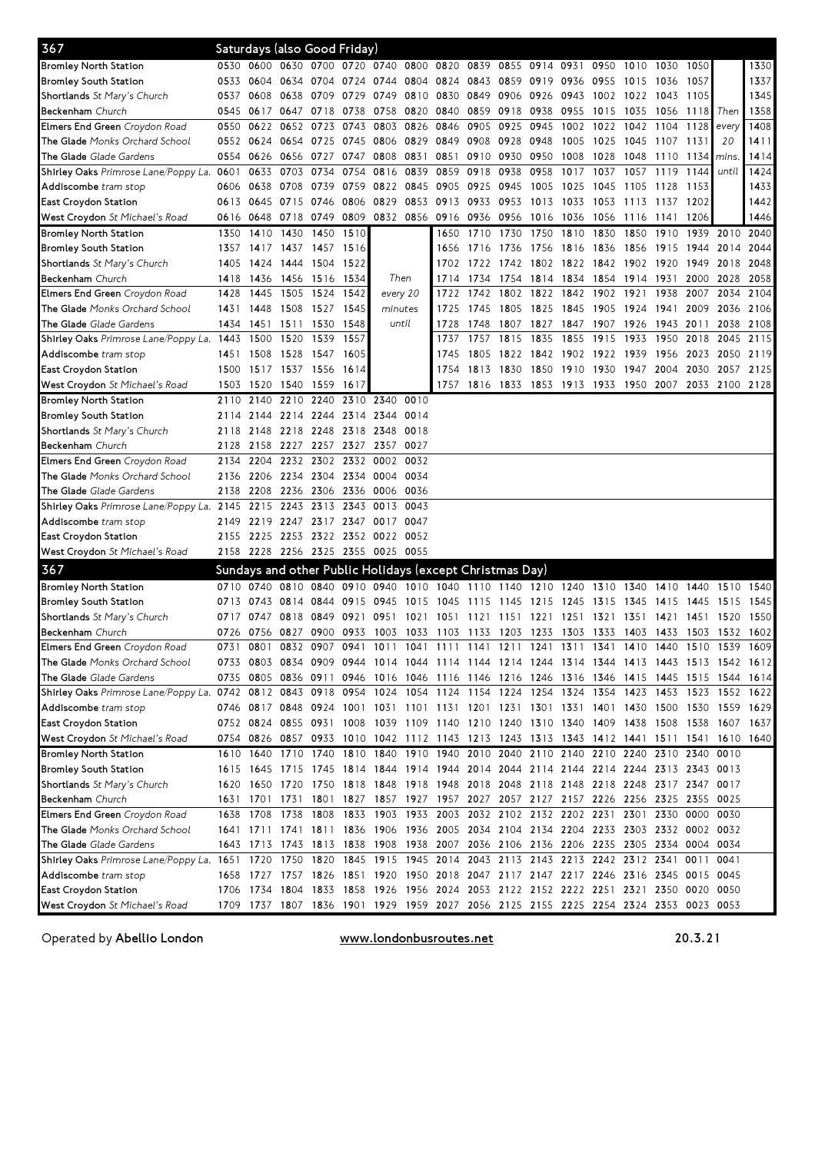| 367                                                                                                                            |      |      |                     | Saturdays (also Good Friday)                                                              |                                                                                      |                |                                                             |                |                |      |      |                               |                     |      |                |                  |                                                                       |           |
|--------------------------------------------------------------------------------------------------------------------------------|------|------|---------------------|-------------------------------------------------------------------------------------------|--------------------------------------------------------------------------------------|----------------|-------------------------------------------------------------|----------------|----------------|------|------|-------------------------------|---------------------|------|----------------|------------------|-----------------------------------------------------------------------|-----------|
| Bromley North Station                                                                                                          |      |      |                     | 0530 0600 0630 0700 0720 0740 0800                                                        |                                                                                      |                |                                                             | 0820           | 0839 0855 0914 |      |      | 0931                          | 0950                | 1010 | 1030           | 1050             |                                                                       | 1330      |
| Bromley South Station                                                                                                          | 0533 |      | 0604 0634 0704      |                                                                                           |                                                                                      |                | 0724 0744 0804 0824 0843 0859 0919 0936 0955                |                |                |      |      |                               |                     | 1015 | 1036           | 1057             |                                                                       | 1337      |
| <b>Shortlands</b> <i>St Mary's Church</i>                                                                                      | 0537 | 0608 | 0638                | 0709                                                                                      | 0729                                                                                 | 0749           | 0810                                                        | 0830 0849      |                | 0906 | 0926 | 0943                          | 1002                | 1022 | 1043           | 1105             |                                                                       | 1345      |
| <b>Beckenham</b> Church                                                                                                        | 0545 | 0617 | 0647 0718           |                                                                                           | 0738                                                                                 | 0758           | 0820                                                        | 0840           | 0859           | 0918 | 0938 | 0955                          | 1015                | 1035 | 1056           | 1118 <i>Then</i> |                                                                       | 1358      |
| <b>Elmers End Green</b> Croydon Road                                                                                           | 0550 | 0622 | 0652 0723           |                                                                                           | 0743                                                                                 |                | 0803 0826                                                   | 0846           | 0905           | 0925 | 0945 | 1002                          | 1022                | 1042 | 1104           | 1128             | every                                                                 | 1408      |
| <b>The Glade</b> Monks Orchard School                                                                                          | 0552 | 0624 | 0654 0725           |                                                                                           |                                                                                      | 0745 0806 0829 |                                                             | 0849 0908 0928 |                |      | 0948 | 1005                          | 1025                |      | 1045 1107 1131 |                  | 20                                                                    | 1411      |
| <b>The Glade</b> Glade Gardens                                                                                                 | 0554 | 0626 | 0656 0727           |                                                                                           | 0747                                                                                 | 0808           | 0831                                                        |                | 0851 0910 0930 |      | 0950 | 1008                          | 1028                | 1048 | 1110           | 1134 <i>mins</i> |                                                                       | 1414      |
| <b>Shirley Oaks</b> Primrose Lane/Poppy La. <b>06</b> 01                                                                       |      | 0633 | 0703 0734           |                                                                                           | 0754                                                                                 |                | 0816 0839                                                   | 0859           | 0918           | 0938 | 0958 | 1017                          | 1037                | 1057 | 1119           | 1144             | until                                                                 | 1424      |
| <b>Addiscombe</b> tram stop                                                                                                    | 0606 | 0638 | 0708                | 0739                                                                                      | 0759                                                                                 | 0822 0845      |                                                             | 0905 0925      |                | 0945 | 1005 | 1025                          | 1045                | 1105 | 1128           | 1153             |                                                                       | 1433      |
| East Croydon Station                                                                                                           | 0613 | 0645 | 0715 0746           |                                                                                           | 0806                                                                                 | 0829 0853      |                                                             | 0913 0933      |                | 0953 | 1013 | 1033                          | 1053                | 1113 | 1137 1202      |                  |                                                                       | 1442      |
| West Croydon St Michael's Road                                                                                                 | 0616 | 0648 | 0718 0749           |                                                                                           | 0809                                                                                 |                | 0832 0856                                                   | 0916 0936      |                | 0956 | 1016 | 1036                          | 1056                | 1116 | 1141           | 1206             |                                                                       | 1446      |
| Bromley North Station                                                                                                          | 1350 | 1410 | 1430                | 1450                                                                                      | 1510                                                                                 |                |                                                             | 1650           | 1710           | 1730 | 1750 | 1810                          | 1830                | 1850 | 1910           | 1939             | 2010                                                                  | 2040      |
| Bromley South Station                                                                                                          | 1357 |      |                     | 1417 1437 1457 1516                                                                       |                                                                                      |                |                                                             |                | 1656 1716      | 1736 |      | 1756 1816 1836                |                     | 1856 | 1915 1944      |                  | 2014                                                                  | 2044      |
| <b>Shortlands</b> St Mary's Church                                                                                             | 1405 | 1424 | 1444 1504           |                                                                                           | 1522                                                                                 |                |                                                             |                | 1702 1722      | 1742 |      | 1802 1822 1842                |                     | 1902 | 1920           | 1949             | 2018                                                                  | 2048      |
| <b>Beckenham</b> Church                                                                                                        | 1418 | 1436 | 1456 1516           |                                                                                           | 1534                                                                                 |                | Then                                                        | 1714           | 1734           | 1754 | 1814 |                               | 1834 1854 1914 1931 |      |                | 2000             | 2028                                                                  | 2058      |
| <b>Elmers End Green</b> Croydon Road                                                                                           | 1428 | 1445 | 1505 1524           |                                                                                           | 1542                                                                                 |                | every 20                                                    | 1722           | 1742           | 1802 | 1822 | 1842                          | 1902                | 1921 | 1938           | 2007             | 2034                                                                  | 2104      |
| <b>The Glade</b> Monks Orchard School                                                                                          | 1431 | 1448 | 1508 1527           |                                                                                           | 1545                                                                                 |                | minutes                                                     | 1725           | 1745           | 1805 |      | 1825 1845                     | 1905                | 1924 | 1941           | 2009             | 2036                                                                  | 2106      |
| <b>The Glade</b> Glade Gardens                                                                                                 | 1434 | 1451 | 1511                | 1530                                                                                      | 1548                                                                                 |                | until                                                       | 1728           | 1748           | 1807 | 1827 | 1847                          | 1907                | 1926 | 1943 2011      |                  | 2038                                                                  | 2108      |
| Shirley Oaks Primrose Lane/Poppy La. 1443                                                                                      |      | 1500 | 1520                | 1539                                                                                      | 1557                                                                                 |                |                                                             | 1737           | 1757           | 1815 | 1835 | 1855                          | 1915                | 1933 | 1950           | 2018             | 2045                                                                  | 2115      |
| <b>Addiscombe</b> tram stop                                                                                                    | 1451 | 1508 | 1528 1547           |                                                                                           | 1605                                                                                 |                |                                                             | 1745           | 1805           | 1822 | 1842 | 1902 1922                     |                     | 1939 | 1956 2023      |                  | 2050                                                                  | 2119      |
| East Croydon Station                                                                                                           | 1500 | 1517 | 1537 1556           |                                                                                           | 1614                                                                                 |                |                                                             | 1754           | 1813           | 1830 | 1850 | 1910                          | 1930                | 1947 | 2004           | 2030             | 2057                                                                  | 2125      |
| <b>West Croydon</b> St Michael's Road                                                                                          | 1503 | 1520 | 1540 1559           |                                                                                           | 1617                                                                                 |                |                                                             |                | 1757 1816 1833 |      | 1853 | 1913 1933                     |                     | 1950 | 2007           | 2033             |                                                                       | 2100 2128 |
| <b>Bromley North Station</b>                                                                                                   | 2110 | 2140 |                     | 2210 2240                                                                                 |                                                                                      | 2310 2340      | 0010                                                        |                |                |      |      |                               |                     |      |                |                  |                                                                       |           |
| Bromley South Station                                                                                                          | 2114 | 2144 |                     | 2214 2244                                                                                 |                                                                                      | 2314 2344      | 0014                                                        |                |                |      |      |                               |                     |      |                |                  |                                                                       |           |
| <b>Shortlands</b> St Mary's Church                                                                                             | 2118 | 2148 | 2218 2248           |                                                                                           | 2318 2348                                                                            |                | 0018                                                        |                |                |      |      |                               |                     |      |                |                  |                                                                       |           |
| <b>Beckenham</b> Church                                                                                                        | 2128 | 2158 |                     | 2227 2257 2327 2357 0027                                                                  |                                                                                      |                |                                                             |                |                |      |      |                               |                     |      |                |                  |                                                                       |           |
| Elmers End Green Croydon Road                                                                                                  | 2134 | 2204 |                     | 2232 2302                                                                                 |                                                                                      | 2332 0002      | 0032                                                        |                |                |      |      |                               |                     |      |                |                  |                                                                       |           |
| <b>The Glade</b> Monks Orchard School                                                                                          | 2136 | 2206 | 2234 2304           |                                                                                           |                                                                                      | 2334 0004      | 0034                                                        |                |                |      |      |                               |                     |      |                |                  |                                                                       |           |
| <b>The Glade</b> Glade Gardens                                                                                                 | 2138 | 2208 | 2236 2306           |                                                                                           |                                                                                      | 2336 0006 0036 |                                                             |                |                |      |      |                               |                     |      |                |                  |                                                                       |           |
| Shirley Oaks Primrose Lane/Poppy La. 2145                                                                                      |      | 2215 |                     | 2243 2313                                                                                 | 2343                                                                                 | 0013           | 0043                                                        |                |                |      |      |                               |                     |      |                |                  |                                                                       |           |
| <b>Addiscombe</b> tram stop                                                                                                    | 2149 | 2219 |                     | 2247 2317 2347 0017 0047                                                                  |                                                                                      |                |                                                             |                |                |      |      |                               |                     |      |                |                  |                                                                       |           |
| East Croydon Station                                                                                                           |      |      |                     | 2155 2225 2253 2322 2352 0022 0052                                                        |                                                                                      |                |                                                             |                |                |      |      |                               |                     |      |                |                  |                                                                       |           |
| West Croydon St Michael's Road                                                                                                 |      |      |                     | 2158 2228 2256 2325 2355 0025 0055                                                        |                                                                                      |                |                                                             |                |                |      |      |                               |                     |      |                |                  |                                                                       |           |
|                                                                                                                                |      |      |                     |                                                                                           |                                                                                      |                |                                                             |                |                |      |      |                               |                     |      |                |                  |                                                                       |           |
| 367                                                                                                                            |      |      |                     | Sundays and other Public Holidays (except Christmas Day)                                  |                                                                                      |                |                                                             |                |                |      |      |                               |                     |      |                |                  |                                                                       |           |
| Bromley North Station                                                                                                          | 0710 |      |                     | 0740 0810 0840 0910 0940 1010 1040 1110 1140 1210 1240 1310 1340                          |                                                                                      |                |                                                             |                |                |      |      |                               |                     |      | 1410 1440      |                  | 1510                                                                  | 1540      |
| Bromley South Station                                                                                                          | 0713 | 0743 | 0814 0844           |                                                                                           | 0915 0945                                                                            |                | 1015                                                        |                |                |      |      | 1045 1115 1145 1215 1245 1315 |                     |      | 1345 1415 1445 |                  | 1515                                                                  | 1545      |
| <b>Shortlands</b> St Mary's Church                                                                                             | 0717 | 0747 | 0818 0849           |                                                                                           | 0921                                                                                 | 0951           | 1021                                                        | 1051           | 1121           |      |      | 1151 1221 1251                | 1321                | 1351 | 1421           | 1451             | 1520                                                                  | 1550      |
| <b>Beckenham</b> Church                                                                                                        | 0726 | 0756 | 0827                | 0900                                                                                      | 0933                                                                                 | 1003           | 1033                                                        | 1103           | 1133           | 1203 | 1233 | 1303                          | 1333                | 1403 | 1433           | 1503             | 1532                                                                  | 1602      |
| <b>Elmers End Green</b> Croydon Road                                                                                           | 0731 | 0801 |                     | 0832 0907                                                                                 | 0941                                                                                 |                | 1011 1041 1111 1141 1211 1241 1311 1341                     |                |                |      |      |                               |                     | 1410 | 1440           | 1510             | 1539                                                                  | 1609      |
| <b>The Glade</b> Monks Orchard School                                                                                          |      |      |                     | 0733 0803 0834 0909 0944 1014 1044 1114 1144 1214 1244 1314 1344 1413 1443 1513 1542 1612 |                                                                                      |                |                                                             |                |                |      |      |                               |                     |      |                |                  |                                                                       |           |
| <b>The Glade</b> Glade Gardens                                                                                                 | 0735 |      | 0805 0836 0911      |                                                                                           |                                                                                      |                |                                                             |                |                |      |      |                               |                     |      |                |                  | 0946 1016 1046 1116 1146 1216 1246 1316 1346 1415 1445 1515 1544 1614 |           |
| Shirley Oaks Primrose Lane/Poppy La. 0742 0812 0843 0918 0954 1024 1054 1124 1154 1224 1254 1324 1354 1423 1453 1523 1552 1622 |      |      |                     |                                                                                           |                                                                                      |                |                                                             |                |                |      |      |                               |                     |      |                |                  |                                                                       |           |
| <b>Addiscombe</b> tram stop                                                                                                    |      |      |                     | 0746 0817 0848 0924 1001 1031 1101 1131 1201 1231 1301 1331 1401 1430 1500 1530 1559 1629 |                                                                                      |                |                                                             |                |                |      |      |                               |                     |      |                |                  |                                                                       |           |
| East Croydon Station                                                                                                           |      |      |                     | 0752 0824 0855 0931 1008 1039 1109 1140 1210 1240 1310 1340 1409 1438 1508 1538 1607 1637 |                                                                                      |                |                                                             |                |                |      |      |                               |                     |      |                |                  |                                                                       |           |
| <b>West Croydon</b> St Michael's Road                                                                                          |      |      |                     | 0754 0826 0857 0933 1010 1042 1112 1143 1213 1243 1313 1343 1412 1441 1511 1541           |                                                                                      |                |                                                             |                |                |      |      |                               |                     |      |                |                  |                                                                       | 1610 1640 |
| Bromley North Station                                                                                                          |      |      |                     | 1610 1640 1710 1740 1810 1840 1910 1940 2010 2040 2110 2140 2210 2240 2310 2340 0010      |                                                                                      |                |                                                             |                |                |      |      |                               |                     |      |                |                  |                                                                       |           |
| Bromley South Station                                                                                                          |      |      |                     | 1615 1645 1715 1745 1814 1844 1914 1944 2014 2044 2114 2144 2214 2244 2313 2343           |                                                                                      |                |                                                             |                |                |      |      |                               |                     |      |                |                  | 0013                                                                  |           |
| <b>Shortlands</b> St Mary's Church                                                                                             |      |      |                     | 1620 1650 1720 1750 1818 1848 1918 1948 2018 2048 2118 2148 2218 2248 2317 2347 0017      |                                                                                      |                |                                                             |                |                |      |      |                               |                     |      |                |                  |                                                                       |           |
| Beckenham Church                                                                                                               |      |      |                     | 1631 1701 1731 1801 1827 1857 1927 1957 2027 2057 2127 2157 2226 2256 2325 2355           |                                                                                      |                |                                                             |                |                |      |      |                               |                     |      |                |                  | 0025                                                                  |           |
| <b>Elmers End Green</b> Croydon Road                                                                                           |      |      | 1638 1708 1738 1808 |                                                                                           |                                                                                      |                | 1833 1903 1933 2003 2032 2102 2132 2202 2231 2301 2330 0000 |                |                |      |      |                               |                     |      |                |                  | 0030                                                                  |           |
| <b>The Glade</b> Monks Orchard School                                                                                          |      |      |                     | 1641 1711 1741 1811 1836 1906 1936 2005 2034 2104 2134 2204 2233 2303 2332 0002 0032      |                                                                                      |                |                                                             |                |                |      |      |                               |                     |      |                |                  |                                                                       |           |
| <b>The Glade</b> Glade Gardens                                                                                                 |      |      |                     | 1643 1713 1743 1813 1838 1908 1938 2007 2036 2106 2136 2206 2235 2305 2334 0004 0034      |                                                                                      |                |                                                             |                |                |      |      |                               |                     |      |                |                  |                                                                       |           |
| Shirley Oaks Primrose Lane/Poppy La. 1651 1720 1750 1820 1845 1915 1945 2014 2043 2113 2143 2213 2242 2312 2341 0011 0041      |      |      |                     |                                                                                           |                                                                                      |                |                                                             |                |                |      |      |                               |                     |      |                |                  |                                                                       |           |
| <b>Addiscombe</b> tram stop                                                                                                    |      |      |                     | 1658 1727 1757 1826 1851 1920 1950 2018 2047 2117 2147 2217 2246 2316 2345 0015           |                                                                                      |                |                                                             |                |                |      |      |                               |                     |      |                |                  | 0045                                                                  |           |
| East Croydon Station                                                                                                           |      |      |                     | 1706 1734 1804 1833 1858 1926 1956 2024 2053 2122 2152 2222 2251 2321 2350 0020 0050      |                                                                                      |                |                                                             |                |                |      |      |                               |                     |      |                |                  |                                                                       |           |
| <b>West Croydon</b> St Michael's Road                                                                                          |      |      |                     |                                                                                           | 1709 1737 1807 1836 1901 1929 1959 2027 2056 2125 2155 2225 2254 2324 2353 0023 0053 |                |                                                             |                |                |      |      |                               |                     |      |                |                  |                                                                       |           |

Operated by Abellio London **WWW.londonbusroutes.net** 20.3.21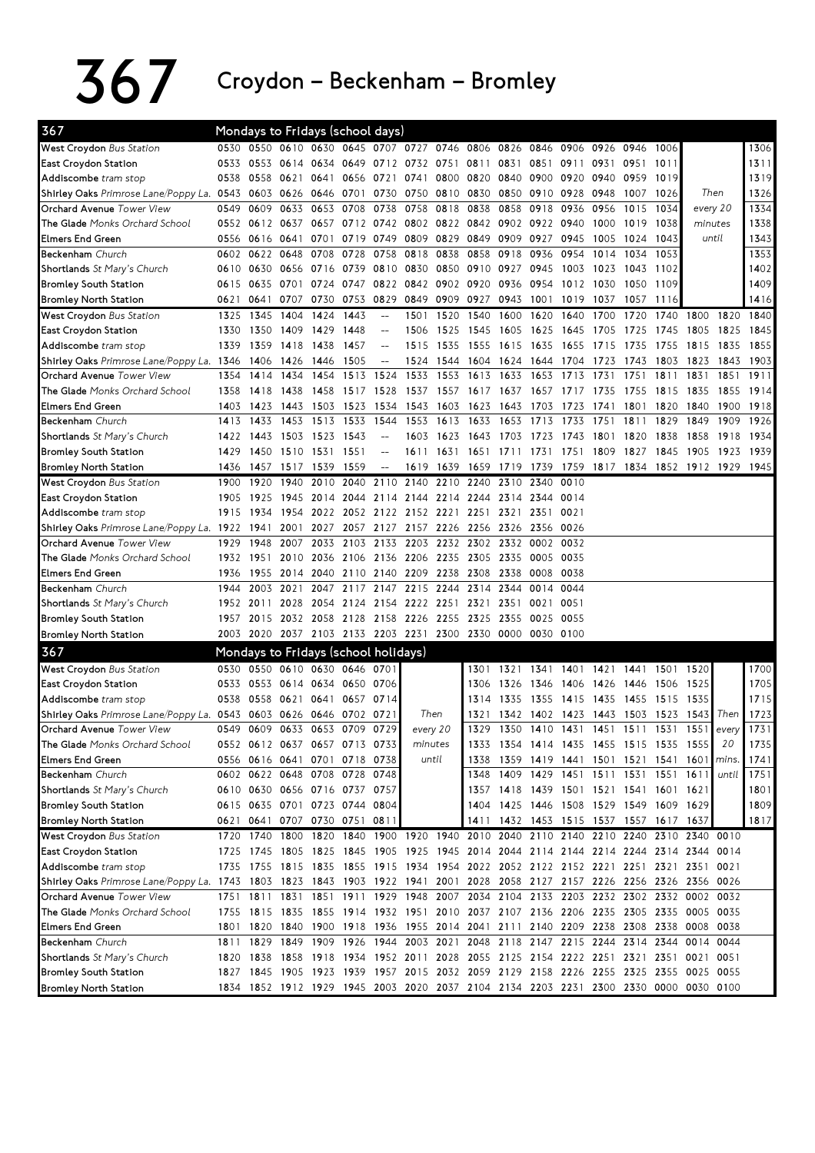## $367$  Croydon – Beckenham – Bromley

| 367                                                                                                                       |      |           | Mondays to Fridays (school days)     |      |                     |                          |          |                     |                          |                                                                       |                |        |           |                               |                                                                                      |          |       |      |
|---------------------------------------------------------------------------------------------------------------------------|------|-----------|--------------------------------------|------|---------------------|--------------------------|----------|---------------------|--------------------------|-----------------------------------------------------------------------|----------------|--------|-----------|-------------------------------|--------------------------------------------------------------------------------------|----------|-------|------|
| West Croydon Bus Station                                                                                                  |      |           |                                      |      |                     |                          |          |                     |                          | 0530 0550 0610 0630 0645 0707 0727 0746 0806 0826 0846 0906 0926 0946 |                |        |           |                               | 1006                                                                                 |          |       | 1306 |
| East Croydon Station                                                                                                      | 0533 |           | 0553 0614 0634                       |      |                     |                          |          |                     | 0649 0712 0732 0751 0811 | 0831                                                                  | 0851           | 0911   | 0931 0951 |                               | 1011                                                                                 |          |       | 1311 |
| Addiscombe tram stop                                                                                                      | 0538 | 0558      | 0621                                 | 0641 |                     | 0656 0721                | 0741     |                     | 0800 0820                | 0840                                                                  | 0900           | 0920   | 0940      | 0959                          | 1019                                                                                 |          |       | 1319 |
| Shirley Oaks Primrose Lane/Poppy La. 0543                                                                                 |      |           | 0603 0626 0646                       |      |                     |                          |          |                     |                          | 0701 0730 0750 0810 0830 0850 0910 0928 0948                          |                |        |           | 1007                          | 1026                                                                                 | Then     |       | 1326 |
| Orchard Avenue Tower View                                                                                                 | 0549 | 0609      | 0633                                 | 0653 | 0708                | 0738                     | 0758     | 0818 0838           |                          | 0858                                                                  | 0918           | 0936   | 0956      | 1015                          | 1034                                                                                 | every 20 |       | 1334 |
| The Glade Monks Orchard School                                                                                            | 0552 | 0612 0637 |                                      |      |                     |                          |          |                     |                          | 0657 0712 0742 0802 0822 0842 0902 0922 0940                          |                |        | 1000      | 1019                          | 1038                                                                                 | minutes  |       | 1338 |
| <b>Elmers End Green</b>                                                                                                   | 0556 | 0616 0641 |                                      |      | 0701 0719 0749 0809 |                          |          | 0829 0849           |                          |                                                                       | 0909 0927 0945 |        | 1005      | 1024                          | 1043                                                                                 | until    |       | 1343 |
| <b>Beckenham</b> Church                                                                                                   | 0602 |           | 0622 0648                            | 0708 | 0728                | 0758                     | 0818     | 0838 0858           |                          | 0918 0936                                                             |                | 0954   | 1014      | 1034                          | 1053                                                                                 |          |       | 1353 |
| Shortlands St Mary's Church                                                                                               | 0610 | 0630      | 0656 0716                            |      | 0739                | 0810                     | 0830     |                     | 0850 0910                | 0927                                                                  | 0945           | 1003   | 1023      | 1043                          | 1102                                                                                 |          |       | 1402 |
| <b>Bromley South Station</b>                                                                                              | 0615 | 0635      | 0701 0724                            |      | 0747                |                          |          | 0822 0842 0902 0920 |                          | 0936                                                                  | 0954           | 1012   | 1030      | 1050                          | 1109                                                                                 |          |       | 1409 |
| <b>Bromley North Station</b>                                                                                              | 0621 | 0641      | 0707                                 | 0730 | 0753                | 0829                     | 0849     | 0909 0927           |                          | 0943                                                                  | 1001           | 1019   | 1037      | 1057                          | 1116                                                                                 |          |       | 1416 |
| West Croydon Bus Station                                                                                                  | 1325 | 1345      | 1404                                 | 1424 | 1443                | $\overline{\phantom{a}}$ | 1501     | 1520                | 1540                     | 1600                                                                  | 1620           | 1640   | 1700      | 1720                          | 1740                                                                                 | 1800     | 1820  | 1840 |
| East Croydon Station                                                                                                      | 1330 | 1350      | 1409                                 | 1429 | 1448                | $-$                      | 1506     | 1525                | 1545                     | 1605                                                                  | 1625           | 1645   | 1705      | 1725                          | 1745                                                                                 | 1805     | 1825  | 1845 |
| Addiscombe tram stop                                                                                                      | 1339 | 1359 1418 |                                      | 1438 | 1457                | $\overline{a}$           | 1515     | 1535 1555           |                          | 1615 1635                                                             |                | - 1655 | 1715      | 1735                          | 1755                                                                                 | 1815     | 1835  | 1855 |
| Shirley Oaks Primrose Lane/Poppy La. 1346                                                                                 |      | 1406      | 1426                                 | 1446 | 1505                |                          | 1524     |                     | 1544 1604                |                                                                       | 1624 1644 1704 |        | 1723      | 1743                          | 1803                                                                                 | 1823     | 1843  | 1903 |
| Orchard Avenue Tower View                                                                                                 | 1354 | 1414      | 1434                                 | 1454 | 1513                | 1524                     | 1533     | 1553                | 1613                     | 1633                                                                  | 1653           | 1713   | 1731      | 1751                          | 1811                                                                                 | 1831     | 1851  | 1911 |
| The Glade Monks Orchard School                                                                                            | 1358 | 1418      | 1438                                 | 1458 | 1517 1528           |                          | 1537     | 1557 1617           |                          | 1637                                                                  | 1657           | 1717   | 1735      | 1755                          | 1815                                                                                 | 1835     | 1855  | 1914 |
| <b>Elmers End Green</b>                                                                                                   | 1403 | 1423      | 1443                                 | 1503 | 1523                | 1534                     | 1543     | 1603                | 1623                     | 1643                                                                  | 1703           | 1723   | 1741      | 1801                          | 1820                                                                                 | 1840     | 1900  | 1918 |
| Beckenham Church                                                                                                          | 1413 | 1433      | 1453                                 | 1513 | 1533                | 1544                     | 1553     | 1613                | 1633                     | 1653                                                                  | 1713           | 1733   | 1751      | 1811                          | 1829                                                                                 | 1849     | 1909  | 1926 |
| Shortlands St Mary's Church                                                                                               | 1422 |           | 1443 1503 1523                       |      | 1543                | $-$                      | 1603     | 1623 1643           |                          | 1703 1723                                                             |                | 1743   | 1801      | 1820                          | 1838                                                                                 | 1858     | 1918  | 1934 |
| <b>Bromley South Station</b>                                                                                              | 1429 |           | 1450 1510 1531 1551                  |      |                     | $\overline{\phantom{a}}$ | 1611     |                     |                          | 1631 1651 1711 1731 1751 1809                                         |                |        |           | 1827                          | 1845                                                                                 | 1905     | 1923  | 1939 |
| <b>Bromley North Station</b>                                                                                              | 1436 | 1457      | 1517 1539                            |      | 1559                | $\overline{\phantom{a}}$ | 1619     | 1639 1659           |                          |                                                                       |                |        |           |                               | 1719 1739 1759 1817 1834 1852 1912 1929 1945                                         |          |       |      |
| West Croydon Bus Station                                                                                                  | 1900 | 1920      | 1940                                 | 2010 | 2040                | 2110                     | 2140     | 2210                | 2240                     | 2310                                                                  | 2340           | 0010   |           |                               |                                                                                      |          |       |      |
| <b>East Croydon Station</b>                                                                                               | 1905 | 1925      | 1945                                 | 2014 |                     | 2044 2114                | 2144     | 2214 2244           |                          |                                                                       | 2314 2344 0014 |        |           |                               |                                                                                      |          |       |      |
| Addiscombe tram stop                                                                                                      | 1915 | 1934      | 1954                                 | 2022 |                     | 2052 2122                |          | 2152 2221 2251      |                          | 2321 2351                                                             |                | 0021   |           |                               |                                                                                      |          |       |      |
| Shirley Oaks Primrose Lane/Poppy La. 1922                                                                                 |      | 1941      | 2001                                 | 2027 |                     | 2057 2127                | 2157     | 2226 2256           |                          | 2326                                                                  | 2356 0026      |        |           |                               |                                                                                      |          |       |      |
| Orchard Avenue Tower View                                                                                                 | 1929 | 1948      | 2007                                 | 2033 |                     | 2103 2133                | 2203     |                     | 2232 2302                |                                                                       | 2332 0002 0032 |        |           |                               |                                                                                      |          |       |      |
| The Glade Monks Orchard School                                                                                            | 1932 | 1951      | 2010 2036                            |      | 2106 2136 2206      |                          |          |                     |                          | 2235 2305 2335 0005 0035                                              |                |        |           |                               |                                                                                      |          |       |      |
| <b>Elmers End Green</b>                                                                                                   | 1936 | 1955      | 2014 2040                            |      |                     | 2110 2140 2209           |          | 2238 2308           |                          | 2338                                                                  | 0008           | 0038   |           |                               |                                                                                      |          |       |      |
| <b>Beckenham</b> Church                                                                                                   | 1944 | 2003      | 2021                                 | 2047 |                     | 2117 2147 2215           |          | 2244 2314           |                          | 2344                                                                  | 0014 0044      |        |           |                               |                                                                                      |          |       |      |
| Shortlands St Mary's Church                                                                                               | 1952 | 2011      | 2028                                 | 2054 |                     | 2124 2154 2222           |          | 2251 2321           |                          | 2351                                                                  | 0021           | 0051   |           |                               |                                                                                      |          |       |      |
| <b>Bromley South Station</b>                                                                                              | 1957 | 2015      | 2032 2058                            |      | 2128 2158 2226      |                          |          | 2255 2325           |                          | 2355                                                                  | 0025 0055      |        |           |                               |                                                                                      |          |       |      |
| <b>Bromley North Station</b>                                                                                              |      |           |                                      |      |                     |                          |          |                     |                          | 2003 2020 2037 2103 2133 2203 2231 2300 2330 0000 0030 0100           |                |        |           |                               |                                                                                      |          |       |      |
| 367                                                                                                                       |      |           | Mondays to Fridays (school holidays) |      |                     |                          |          |                     |                          |                                                                       |                |        |           |                               |                                                                                      |          |       |      |
| West Croydon Bus Station                                                                                                  |      | 0530 0550 | 0610 0630 0646 0701                  |      |                     |                          |          |                     | 1301                     |                                                                       |                |        |           | 1321 1341 1401 1421 1441 1501 |                                                                                      | 1520     |       | 1700 |
| <b>East Croydon Station</b>                                                                                               | 0533 |           | 0553 0614 0634 0650                  |      |                     | 0706                     |          |                     | 1306                     | 1326                                                                  | 1346 1406      |        | 1426 1446 |                               | 1506                                                                                 | 1525     |       | 1705 |
| Addiscombe tram stop                                                                                                      | 0538 | 0558      | 0621                                 | 0641 |                     | 0657 0714                |          |                     | 1314                     | 1335                                                                  | 1355 1415      |        | 1435      | 1455                          | 1515                                                                                 | 1535     |       | 1715 |
| Shirley Oaks Primrose Lane/Poppy La. 0543                                                                                 |      |           | 0603 0626 0646                       |      | 0702 0721           |                          |          | Then                | 1321                     |                                                                       | 1342 1402 1423 |        | 1443 1503 |                               | 1523                                                                                 | 15431    | Then  | 1723 |
| Orchard Avenue Tower View                                                                                                 | 0549 | 0609      | 0633                                 | 0653 | 0709                | 0729                     | every 20 |                     | 1329                     | 1350                                                                  | 1410           | 1431   | 1451      | 1511                          | 1531                                                                                 | 1551     | every | 1731 |
| The Glade Monks Orchard School                                                                                            |      |           | 0552 0612 0637 0657 0713 0733        |      |                     |                          |          | minutes             | 1333                     |                                                                       |                |        |           |                               | 1354 1414 1435 1455 1515 1535 1555                                                   |          | 20    | 1735 |
| <b>Elmers End Green</b>                                                                                                   |      |           | 0556 0616 0641                       |      | 0701 0718 0738      |                          |          | until               | 1338                     |                                                                       |                |        |           |                               | 1359 1419 1441 1501 1521 1541 1601                                                   |          | mins. | 1741 |
| Beckenham Church                                                                                                          |      |           | 0602 0622 0648 0708 0728 0748        |      |                     |                          |          |                     | 1348                     |                                                                       |                |        |           |                               | 1409 1429 1451 1511 1531 1551 1611                                                   |          | until | 1751 |
| Shortlands St Mary's Church                                                                                               |      |           | 0610 0630 0656 0716 0737 0757        |      |                     |                          |          |                     | 1357                     |                                                                       |                |        |           |                               | 1418 1439 1501 1521 1541 1601 1621                                                   |          |       | 1801 |
| <b>Bromley South Station</b>                                                                                              |      |           | 0615 0635 0701 0723 0744 0804        |      |                     |                          |          |                     | 1404                     |                                                                       |                |        |           |                               | 1425 1446 1508 1529 1549 1609 1629                                                   |          |       | 1809 |
| <b>Bromley North Station</b>                                                                                              |      |           | 0621 0641 0707 0730 0751 0817        |      |                     |                          |          |                     | 1411                     |                                                                       |                |        |           |                               | 1432 1453 1515 1537 1557 1617 1637                                                   |          |       | 1817 |
| West Croydon Bus Station                                                                                                  | 1720 | 1740 1800 |                                      |      |                     |                          |          |                     |                          |                                                                       |                |        |           |                               | 1820 1840 1900 1920 1940 2010 2040 2110 2140 2210 2240 2310 2340 0010                |          |       |      |
| East Croydon Station                                                                                                      | 1725 |           |                                      |      |                     |                          |          |                     |                          |                                                                       |                |        |           |                               | 1745 1805 1825 1845 1905 1925 1945 2014 2044 2114 2144 2214 2244 2314 2344 0014      |          |       |      |
| Addiscombe tram stop                                                                                                      |      |           |                                      |      |                     |                          |          |                     |                          |                                                                       |                |        |           |                               | 1735 1755 1815 1835 1855 1915 1934 1954 2022 2052 2122 2152 2221 2251 2321 2351 0021 |          |       |      |
| Shirley Oaks Primrose Lane/Poppy La. 1743 1803 1823 1843 1903 1922 1941 2001 2028 2058 2127 2157 2226 2256 2326 2356 0026 |      |           |                                      |      |                     |                          |          |                     |                          |                                                                       |                |        |           |                               |                                                                                      |          |       |      |
| Orchard Avenue Tower View                                                                                                 | 1751 | 1811      | 1831                                 | 1851 | 1911                |                          |          |                     |                          |                                                                       |                |        |           |                               | 1929 1948 2007 2034 2104 2133 2203 2232 2302 2332 0002                               |          | 0032  |      |
| The Glade Monks Orchard School                                                                                            |      |           |                                      |      |                     |                          |          |                     |                          |                                                                       |                |        |           |                               | 1755 1815 1835 1855 1914 1932 1951 2010 2037 2107 2136 2206 2235 2305 2335 0005 0035 |          |       |      |
| <b>Elmers End Green</b>                                                                                                   |      |           |                                      |      |                     |                          |          |                     |                          |                                                                       |                |        |           |                               | 1801 1820 1840 1900 1918 1936 1955 2014 2041 2111 2140 2209 2238 2308 2338 0008      |          | 0038  |      |
| Beckenham Church                                                                                                          |      | 1811 1829 |                                      |      |                     |                          |          |                     |                          |                                                                       |                |        |           |                               | 1849 1909 1926 1944 2003 2021 2048 2118 2147 2215 2244 2314 2344 0014 0044           |          |       |      |
| Shortlands St Mary's Church                                                                                               |      |           |                                      |      |                     |                          |          |                     |                          |                                                                       |                |        |           |                               | 1820 1838 1858 1918 1934 1952 2011 2028 2055 2125 2154 2222 2251 2321 2351 0021 0051 |          |       |      |
| <b>Bromley South Station</b>                                                                                              |      |           |                                      |      |                     |                          |          |                     |                          |                                                                       |                |        |           |                               | 1827 1845 1905 1923 1939 1957 2015 2032 2059 2129 2158 2226 2255 2325 2355 0025 0055 |          |       |      |
| <b>Bromley North Station</b>                                                                                              |      |           |                                      |      |                     |                          |          |                     |                          |                                                                       |                |        |           |                               | 1834 1852 1912 1929 1945 2003 2020 2037 2104 2134 2203 2231 2300 2330 0000 0030 0100 |          |       |      |